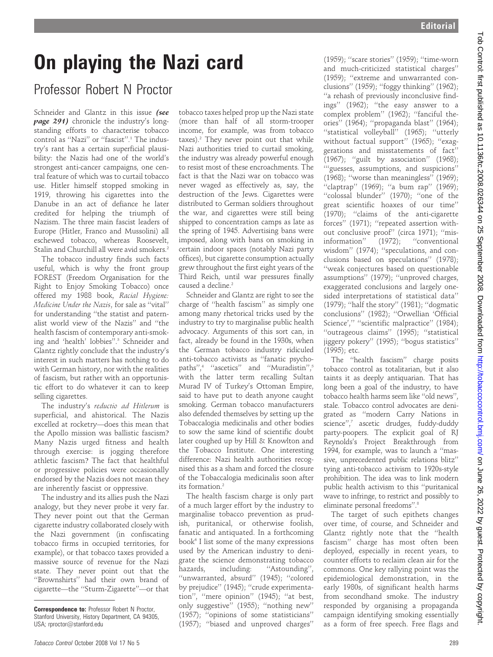## On playing the Nazi card

## Professor Robert N Proctor

Schneider and Glantz in this issue (see page 291) chronicle the industry's longstanding efforts to characterise tobacco control as ''Nazi'' or ''fascist''.1 The industry's rant has a certain superficial plausibility: the Nazis had one of the world's strongest anti-cancer campaigns, one central feature of which was to curtail tobacco use. Hitler himself stopped smoking in 1919, throwing his cigarettes into the Danube in an act of defiance he later credited for helping the triumph of Nazism. The three main fascist leaders of Europe (Hitler, Franco and Mussolini) all eschewed tobacco, whereas Roosevelt, Stalin and Churchill all were avid smokers.2

The tobacco industry finds such facts useful, which is why the front group FOREST (Freedom Organisation for the Right to Enjoy Smoking Tobacco) once offered my 1988 book, Racial Hygiene: Medicine Under the Nazis, for sale as ''vital'' for understanding ''the statist and paternalist world view of the Nazis'' and ''the health fascism of contemporary anti-smoking and 'health' lobbies''.3 Schneider and Glantz rightly conclude that the industry's interest in such matters has nothing to do with German history, nor with the realities of fascism, but rather with an opportunistic effort to do whatever it can to keep selling cigarettes.

The industry's reductio ad Hitlerum is superficial, and ahistorical. The Nazis excelled at rocketry—does this mean that the Apollo mission was ballistic fascism? Many Nazis urged fitness and health through exercise: is jogging therefore athletic fascism? The fact that healthful or progressive policies were occasionally endorsed by the Nazis does not mean they are inherently fascist or oppressive.

The industry and its allies push the Nazi analogy, but they never probe it very far. They never point out that the German cigarette industry collaborated closely with the Nazi government (in confiscating tobacco firms in occupied territories, for example), or that tobacco taxes provided a massive source of revenue for the Nazi state. They never point out that the ''Brownshirts'' had their own brand of cigarette—the ''Sturm-Zigarette''—or that

tobacco taxes helped prop up the Nazi state (more than half of all storm-trooper income, for example, was from tobacco taxes).<sup>2</sup> They never point out that while Nazi authorities tried to curtail smoking, the industry was already powerful enough to resist most of these encroachments. The fact is that the Nazi war on tobacco was never waged as effectively as, say, the destruction of the Jews. Cigarettes were distributed to German soldiers throughout the war, and cigarettes were still being shipped to concentration camps as late as the spring of 1945. Advertising bans were imposed, along with bans on smoking in certain indoor spaces (notably Nazi party offices), but cigarette consumption actually grew throughout the first eight years of the Third Reich, until war pressures finally caused a decline.<sup>2</sup>

Schneider and Glantz are right to see the charge of ''health fascism'' as simply one among many rhetorical tricks used by the industry to try to marginalise public health advocacy. Arguments of this sort can, in fact, already be found in the 1930s, when the German tobacco industry ridiculed anti-tobacco activists as ''fanatic psychopaths",<sup>4</sup> "ascetics" and "Muradistin",<sup>5</sup> with the latter term recalling Sultan Murad IV of Turkey's Ottoman Empire, said to have put to death anyone caught smoking. German tobacco manufacturers also defended themselves by setting up the Tobaccalogia medicinalis and other bodies to sow the same kind of scientific doubt later coughed up by Hill & Knowlton and the Tobacco Institute. One interesting difference: Nazi health authorities recognised this as a sham and forced the closure of the Tobaccalogia medicinalis soon after its formation.2

The health fascism charge is only part of a much larger effort by the industry to marginalise tobacco prevention as prudish, puritanical, or otherwise foolish, fanatic and antiquated. In a forthcoming book<sup>6</sup> I list some of the many expressions used by the American industry to denigrate the science demonstrating tobacco hazards, including: "Astounding", ''unwarranted, absurd'' (1945); ''colored by prejudice'' (1945); ''crude experimentation'', ''mere opinion'' (1945); ''at best, only suggestive'' (1955); ''nothing new'' (1957); ''opinions of some statisticians'' (1957); ''biased and unproved charges''

(1959); ''scare stories'' (1959); ''time-worn and much-criticized statistical charges'' (1959); ''extreme and unwarranted conclusions'' (1959); ''foggy thinking'' (1962); ''a rehash of previously inconclusive findings'' (1962); ''the easy answer to a complex problem'' (1962); ''fanciful theories'' (1964); ''propaganda blast'' (1964); ''statistical volleyball'' (1965); ''utterly without factual support'' (1965); ''exaggerations and misstatements of fact'' (1967); ''guilt by association'' (1968); '''guesses, assumptions, and suspicions'' (1968); ''worse than meaningless'' (1969); ''claptrap'' (1969); ''a bum rap'' (1969); ''colossal blunder'' (1970); ''one of the great scientific hoaxes of our time'' (1970); ''claims of the anti-cigarette forces" (1971); "repeated assertion without conclusive proof'' (circa 1971); ''misinformation" (1972); "conventional wisdom" (1974); "speculations, and conclusions based on speculations'' (1978); ''weak conjectures based on questionable assumptions'' (1979); ''unproved charges, exaggerated conclusions and largely onesided interpretations of statistical data'' (1979); ''half the story'' (1981); ''dogmatic conclusions'' (1982); ''Orwellian 'Official Science'," "scientific malpractice" (1984); ''outrageous claims'' (1995); ''statistical jiggery pokery'' (1995); ''bogus statistics'' (1995); etc.

The ''health fascism'' charge posits tobacco control as totalitarian, but it also taints it as deeply antiquarian. That has long been a goal of the industry, to have tobacco health harms seem like ''old news'', stale. Tobacco control advocates are denigrated as ''modern Carry Nations in science",<sup>7</sup> ascetic drudges, fuddy-duddy party-poopers. The explicit goal of RJ Reynolds's Project Breakthrough from 1994, for example, was to launch a ''massive, unprecedented public relations blitz'' tying anti-tobacco activism to 1920s-style prohibition. The idea was to link modern public health activism to this ''puritanical wave to infringe, to restrict and possibly to eliminate personal freedoms''.8

The target of such epithets changes over time, of course, and Schneider and Glantz rightly note that the ''health fascism'' charge has most often been deployed, especially in recent years, to counter efforts to reclaim clean air for the commons. One key rallying point was the epidemiological demonstration, in the early 1980s, of significant health harms from secondhand smoke. The industry responded by organising a propaganda campaign identifying smoking essentially as a form of free speech. Free flags and

Correspondence to: Professor Robert N Proctor, Stanford University, History Department, CA 94305, USA; rproctor@stanford.edu